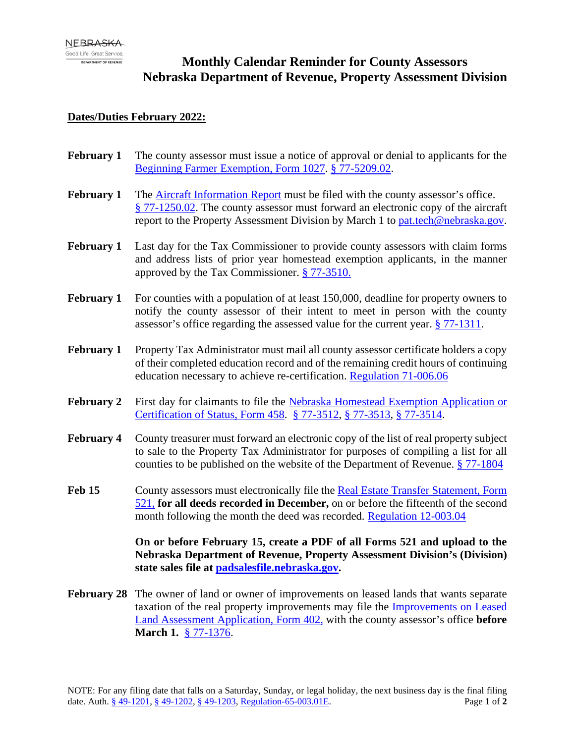# **Monthly Calendar Reminder for County Assessors Nebraska Department of Revenue, Property Assessment Division**

## **Dates/Duties February 2022:**

- **February 1** The county assessor must issue a notice of approval or denial to applicants for the [Beginning Farmer Exemption, Form 1027.](https://revenue.nebraska.gov/sites/revenue.nebraska.gov/files/doc/pad/forms/1027_Exempt_App_for_Begin_Farm.pdf) § [77-5209.02.](https://nebraskalegislature.gov/laws/statutes.php?statute=77-5209.02)
- **February 1** The [Aircraft Information Report](https://revenue.nebraska.gov/sites/revenue.nebraska.gov/files/doc/pad/forms/Aircraft_Info_Report.pdf) must be filed with the county assessor's office. § [77-1250.02.](https://nebraskalegislature.gov/laws/statutes.php?statute=77-1250.02) The county assessor must forward an electronic copy of the aircraft report to the Property Assessment Division by March 1 to [pat.tech@nebraska.gov.](mailto:pat.tech@nebraska.gov)
- **February 1** Last day for the Tax Commissioner to provide county assessors with claim forms and address lists of prior year homestead exemption applicants, in the manner approved by the Tax Commissioner. § [77-3510.](https://nebraskalegislature.gov/laws/statutes.php?statute=77-3510)
- **February 1** For counties with a population of at least 150,000, deadline for property owners to notify the county assessor of their intent to meet in person with the county assessor's office regarding the assessed value for the current year. [§ 77-1311.](https://nebraskalegislature.gov/laws/statutes.php?statute=77-1311)
- **February 1** Property Tax Administrator must mail all county assessor certificate holders a copy of their completed education record and of the remaining credit hours of continuing education necessary to achieve re-certification. [Regulation 71-006.06](https://revenue.nebraska.gov/sites/revenue.nebraska.gov/files/doc/legal/regs/pad/Chapter71_Education_Certification_and_Re-Certification_3-15-2009.pdf)
- **February 2** First day for claimants to file the [Nebraska Homestead Exemption Application or](https://revenue.nebraska.gov/sites/revenue.nebraska.gov/files/doc/tax-forms/f_458.pdf)  [Certification of Status, Form 458.](https://revenue.nebraska.gov/sites/revenue.nebraska.gov/files/doc/tax-forms/f_458.pdf) § [77-3512,](https://nebraskalegislature.gov/laws/statutes.php?statute=77-3512) § [77-3513,](https://nebraskalegislature.gov/laws/statutes.php?statute=77-3513) § [77-3514.](https://nebraskalegislature.gov/laws/statutes.php?statute=77-3514)
- **February 4** County treasurer must forward an electronic copy of the list of real property subject to sale to the Property Tax Administrator for purposes of compiling a list for all counties to be published on the website of the Department of Revenue. [§ 77-1804](https://nebraskalegislature.gov/laws/statutes.php?statute=77-1804)
- **Feb 15** County assessors must electronically file the Real Estate Transfer Statement, Form [521,](https://revenue.nebraska.gov/sites/revenue.nebraska.gov/files/doc/tax-forms/f_458.pdf) **for all deeds recorded in December,** on or before the fifteenth of the second month following the month the deed was recorded. [Regulation 12-003.04](https://revenue.nebraska.gov/sites/revenue.nebraska.gov/files/doc/legal/regs/pad/Chapter12_Sales_File.pdf)

**On or before February 15, create a PDF of all Forms 521 and upload to the Nebraska Department of Revenue, Property Assessment Division's (Division) state sales file at [padsalesfile.nebraska.gov.](http://padsalesfile.nebraska.gov/)**

**February 28** The owner of land or owner of improvements on leased lands that wants separate taxation of the real property improvements may file the [Improvements on Leased](https://revenue.nebraska.gov/sites/revenue.nebraska.gov/files/doc/pad/forms/402_Improvements_on_Leased_Land.pdf)  [Land Assessment Application, Form 402,](https://revenue.nebraska.gov/sites/revenue.nebraska.gov/files/doc/pad/forms/402_Improvements_on_Leased_Land.pdf) with the county assessor's office **before March 1.** § [77-1376.](https://nebraskalegislature.gov/laws/statutes.php?statute=77-1376)